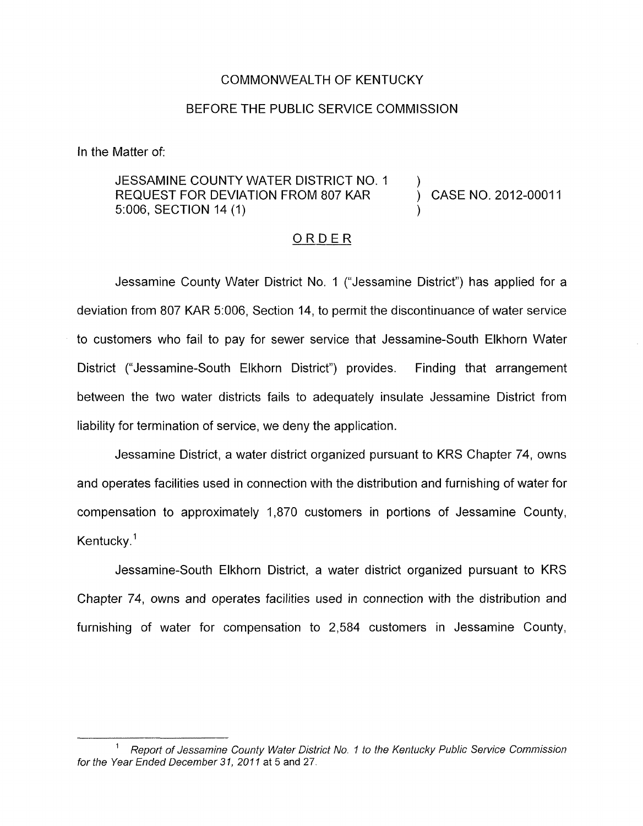## COMMONWEALTH OF KENTUCKY

## BEFORE THE PUBLIC SERVICE COMMISSION

In the Matter of:

## JESSAMINE COUNTY WATER DISTRICT NO. 1 )<br>REQUEST FOR DEVIATION FROM 807 KAR ) CASE NO. 2012-00011 5:006, SECTION 14 (1)

## ORDER

Jessamine County Water District No. 1 ("Jessamine District") has applied for a deviation from 807 KAR 5:006, Section 14, to permit the discontinuance of water service to customers who fail to pay for sewer service that Jessamine-South Elkhorn Water District ("Jessamine-South Elkhorn District") provides. Finding that arrangement between the two water districts fails to adequately insulate Jessamine District from liability for termination of service, we deny the application.

Jessamine District, a water district organized pursuant to KRS Chapter 74, owns and operates facilities used in connection with the distribution and furnishing of water for compensation to approximately 1,870 customers in portions of Jessamine County, Kentucky. $1$ 

Jessamine-South Elkhorn District, a water district organized pursuant to KRS Chapter 74, owns and operates facilities used in connection with the distribution and furnishing of water for compensation to 2,584 customers in Jessamine County,

*Report of Jessamine County Water District No. I to the Kentucky Public Service Commission*  for the Year Ended December 31, 2011 at 5 and 27.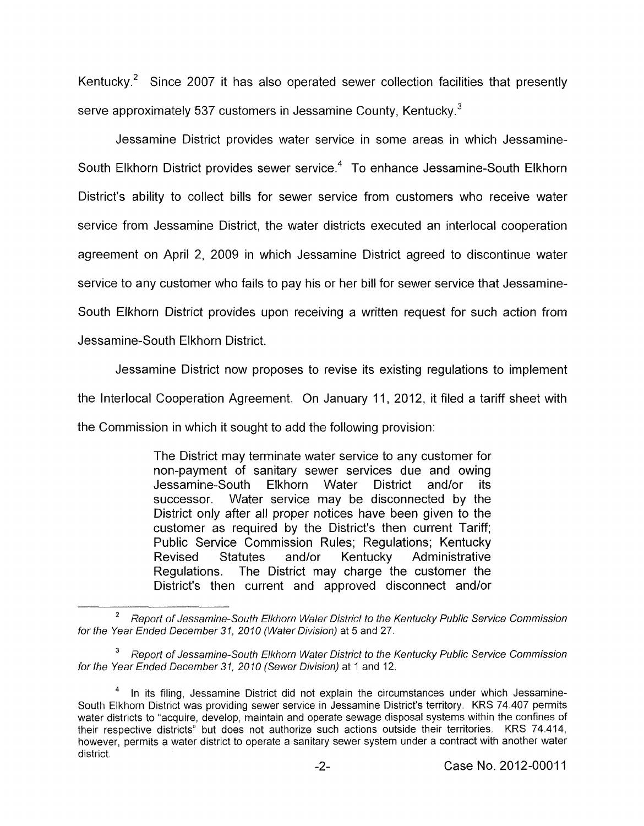Kentucky. $2$  Since 2007 it has also operated sewer collection facilities that presently serve approximately 537 customers in Jessamine County, Kentucky. $3$ 

Jessamine District provides water service in some areas in which Jessamine-South Elkhorn District provides sewer service.<sup>4</sup> To enhance Jessamine-South Elkhorn District's ability to collect bills for sewer service from customers who receive water service from Jessamine District, the water districts executed an interlocal cooperation agreement on April 2, 2009 in which Jessamine District agreed to discontinue water service to any customer who fails to pay his or her bill for sewer service that Jessamine-South Elkhorn District provides upon receiving a written request for such action from Jessamine-South Elkhorn District.

Jessamine District now proposes to revise its existing regulations to implement the Interlocal Cooperation Agreement. On January 11, 2012, it filed a tariff sheet with the Commission in which it sought to add the following provision:

> The District may terminate water service to any customer for non-payment of sanitary sewer services due and owing Jessamine-South Elkhorn Water District and/or its successor. Water service may be disconnected by the District only after all proper notices have been given to the customer as required by the District's then current Tariff; Public Service Commission Rules; Regulations; Kentucky Revised Statutes and/or Kentucky Administrative Regulations. The District may charge the customer the District's then current and approved disconnect and/or

*Report of Jessamine-South Elkhorn Water District to the Kentucky Public Service Commission* **<sup>2</sup>** *for the Year Ended December 31, 2010 (Water Division)* at *5* and 27.

<sup>&</sup>lt;sup>3</sup> Report of Jessamine-South Elkhorn Water District to the Kentucky Public Service Commission *for the Year Ended December 31, 20 10 (Sewer Division)* at 1 and 12.

In its filing, Jessamine District did not explain the circumstances under which Jessamine-South Elkhorn District was providing sewer service in Jessamine District's territory. KRS 74 407 permits water districts to "acquire, develop, maintain and operate sewage disposal systems within the confines of their respective districts" but does not authorize such actions outside their territories. KRS 74.414, however, permits a water district to operate a sanitary sewer system under a contract with another water district **4**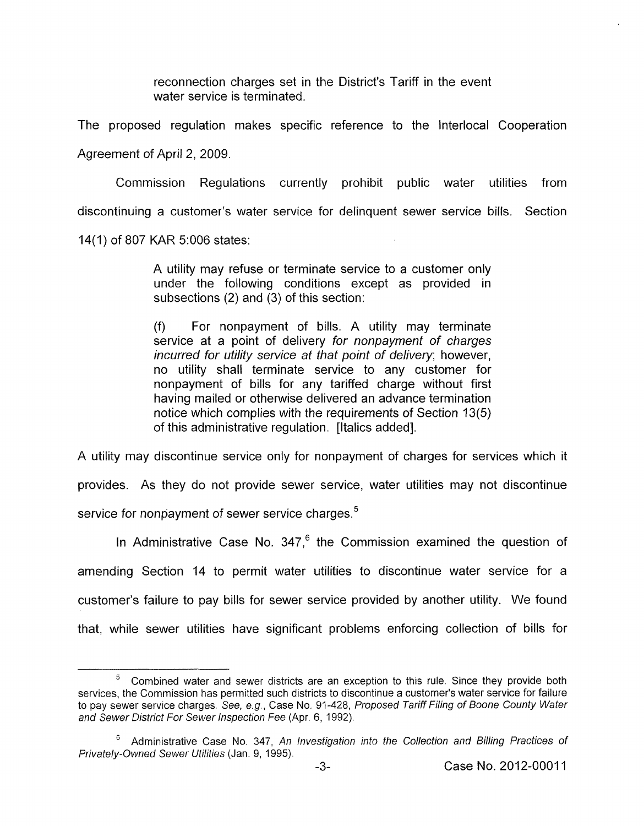reconnection charges set in the District's Tariff in the event water service is terminated.

The proposed regulation makes specific reference to the lnterlocal Cooperation Agreement of April 2, 2009.

Commission Regulations currently prohibit public water utilities from discontinuing a customer's water service for delinquent sewer service bills. Section

14(1) of 807 KAR 5:006 states:

A utility may refuse or terminate service to a customer only under the following conditions except as provided in subsections (2) and (3) of this section:

(f) For nonpayment of bills. A utility may terminate service at a point of delivery *for nonpayment of charges incurred for utility service at that point of delivery;* however, no utility shall terminate service to any customer for nonpayment of bills for any tariffed charge without first having mailed or otherwise delivered an advance termination notice which complies with the requirements of Section 13(5) of this administrative regulation. [Italics added].

A utility may discontinue service only for nonpayment of charges for services which it

provides. As they do not provide sewer service, water utilities may not discontinue service for nonpayment of sewer service charges.<sup>5</sup>

In Administrative Case No.  $347<sup>6</sup>$  the Commission examined the question of amending Section 14 to permit water utilities to discontinue water service for a customer's failure to pay bills for sewer service provided by another utility. We found that, while sewer utilities have significant problems enforcing collection of bills for

Combined water and sewer districts are an exception to this rule. Since they provide both services, the Commission has permitted such districts to discontinue a customer's water service for failure to pay sewer service charges *See, e.g* , Case No 91-428, *Proposed Tariff Filing of Boone County Water and Sewer District For Sewer lnspecfion Fee* (Apr. *6,* 1992). **5** 

Administrative Case No. 347, *An lnvestigation into the Collection and Billing Practices of 6 Privately-Owned Sewer Utilities* (Jan. 9, 1995).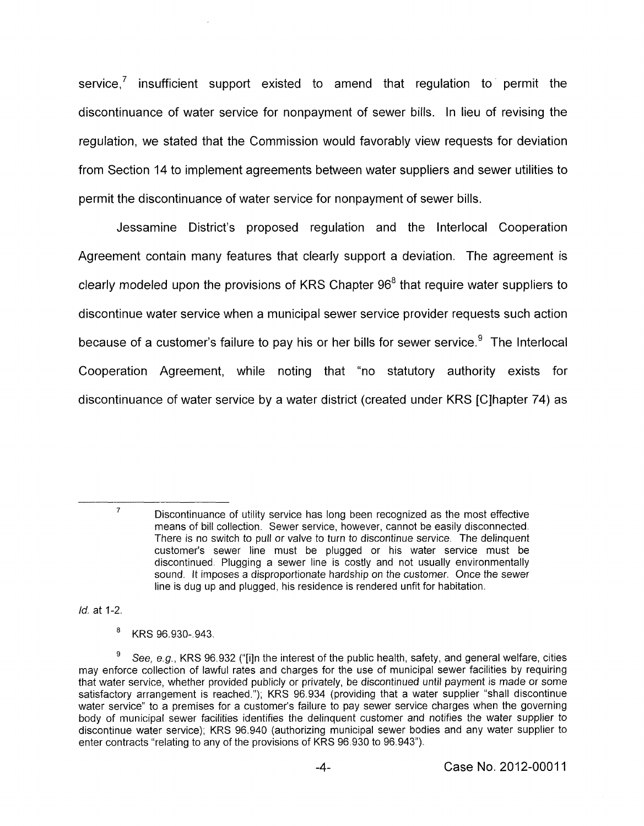service,<sup>7</sup> insufficient support existed to amend that regulation to permit the discontinuance of water service for nonpayment of sewer bills. In lieu of revising the regulation, we stated that the Commission would favorably view requests for deviation from Section 14 to implement agreements between water suppliers and sewer utilities to permit the discontinuance of water service for nonpayment of sewer bills.

Jessamine District's proposed regulation and the lnterlocal Cooperation Agreement contain many features that clearly support a deviation. The agreement is clearly modeled upon the provisions of KRS Chapter  $96<sup>8</sup>$  that require water suppliers to discontinue water service when a municipal sewer service provider requests such action because of a customer's failure to pay his or her bills for sewer service. $9$  The Interlocal Cooperation Agreement, while noting that "no statutory authority exists for discontinuance of water service by a water district (created under KRS [Clhapter 74) as

7

*Id.* at 1-2

8 KRS 96.930-.943.

Discontinuance of utility service has long been recognized as the most effective means of bill collection. Sewer service, however, cannot be easily disconnected There is no switch to pull or valve to turn to discontinue service. The delinquent customer's sewer line must be plugged or his water service must be discontinued Plugging a sewer line is costly and not usually environmentally sound. It imposes a disproportionate hardship on the customer. Once the sewer line is dug up and plugged, his residence is rendered unfit for habitation.

See, e *g.,* KRS 96 932 ("[iln the interest of the public health, safety, and general welfare, cities may enforce collection of lawful rates and charges for the use of municipal sewer facilities by requiring that water service, whether provided publicly or privately, be discontinued until payment is made or some satisfactory arrangement is reached."), KRS 96 934 (providing that a water supplier "shall discontinue water service" to a premises for a customer's failure to pay sewer service charges when the governing body of municipal sewer facilities identifies the delinquent customer and notifies the water supplier to discontinue water service), KRS 96.940 (authorizing municipal sewer bodies and any water supplier to enter contracts "relating to any of the provisions of KRS 96 930 to 96 943")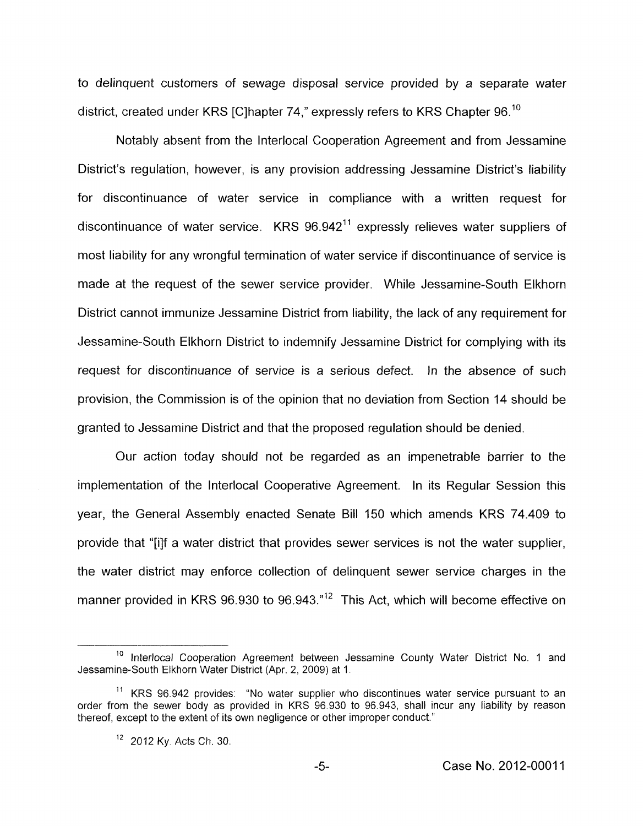to delinquent customers of sewage disposal service provided by a separate water district, created under KRS [C]hapter 74," expressly refers to KRS Chapter 96.<sup>10</sup>

Notably absent from the Interlocal Cooperation Agreement and from Jessamine District's regulation, however, is any provision addressing Jessamine District's liability for discontinuance of water service in compliance with a written request for discontinuance of water service. KRS 96.942" expressly relieves water suppliers of most liability for any wrongful termination of water service if discontinuance of service is made at the request of the sewer service provider. While Jessamine-South Elkhorn District cannot immunize Jessamine District from liability, the lack of any requirement for Jessamine-South Elkhorn District to indemnify Jessamine District for complying with its request for discontinuance of service is a serious defect. In the absence of such provision, the Commission is of the opinion that no deviation from Section 14 should be granted to Jessamine District and that the proposed regulation should be denied.

Our action today should not be regarded as an impenetrable barrier to the implementation of the Interlocal Cooperative Agreement. In its Regular Session this year, the General Assembly enacted Senate Bill 150 which amends KRS 74.409 to provide that "[ilf a water district that provides sewer services is not the water supplier, the water district may enforce collection of delinquent sewer service charges in the manner provided in KRS 96.930 to 96.943."<sup>12</sup> This Act, which will become effective on

<sup>&</sup>lt;sup>10</sup> Interlocal Cooperation Agreement between Jessamine County Water District No. 1 and Jessamine-South Elkhorn Water District (Apr. 2, 2009) at 1.

 $11$  KRS 96.942 provides: "No water supplier who discontinues water service pursuant to an order from the sewer body as provided in KRS 96.930 to 96.943, shall incur any liability by reason thereof, except to the extent of its own negligence or other improper conduct."

 $12$  2012 Ky. Acts Ch. 30.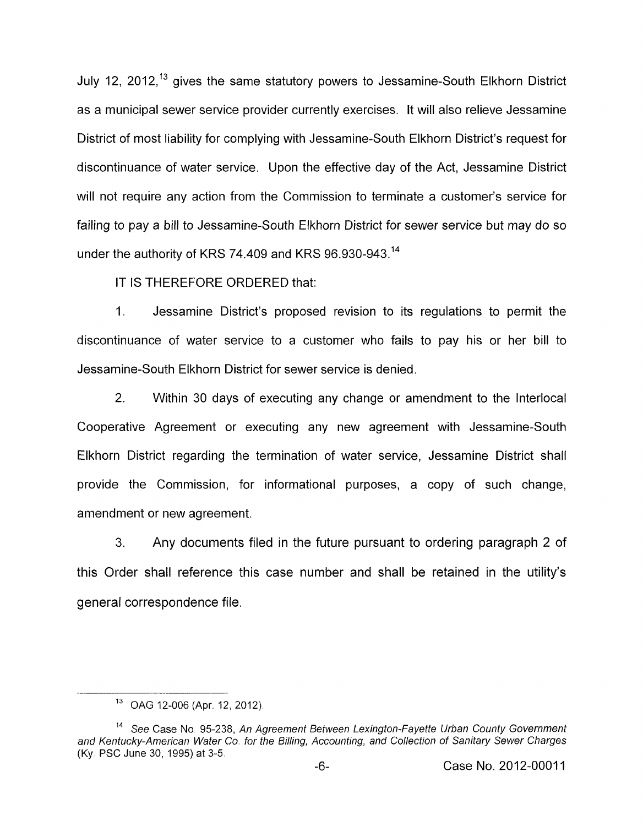July 12, 2012,<sup>13</sup> gives the same statutory powers to Jessamine-South Elkhorn District as a municipal sewer service provider currently exercises. It will also relieve Jessamine District of most liability for complying with Jessamine-South Elkhorn District's request for discontinuance of water service. Upon the effective day of the Act, Jessamine District will not require any action from the Commission to terminate a customer's service for failing to pay a bill to Jessamine-South Elkhorn District for sewer service but may do so under the authority of KRS **74.409** and KRS **96.930-943.14** 

IT IS THEREFORE ORDERED that:

I. Jessamine District's proposed revision to its regulations to permit the discontinuance of water service to a customer who fails to pay his or her bill to Jessamine-South Elkhorn District for sewer service is denied.

2. Within **30** days of executing any change or amendment to the Interlocal Cooperative Agreement or executing any new agreement with Jessamine-South Elkhorn District regarding the termination of water service, Jessamine District shall provide the Commission, for informational purposes, a copy of such change, amendment or new agreement.

**3.** Any documents filed in the future pursuant to ordering paragraph 2 of this Order shall reference this case number and shall be retained in the utility's general correspondence file.

<sup>&</sup>lt;sup>13</sup> OAG 12-006 (Apr. 12, 2012).

<sup>&</sup>lt;sup>14</sup> See Case No. 95-238, An Agreement Between Lexington-Fayette Urban County Government *and Kentucky-American Wafer Co. for the Billing, Accounting, and Collection of Sanifary Sewer Charges*  **(Ky.** PSC June 30, 1995) at *3-5.*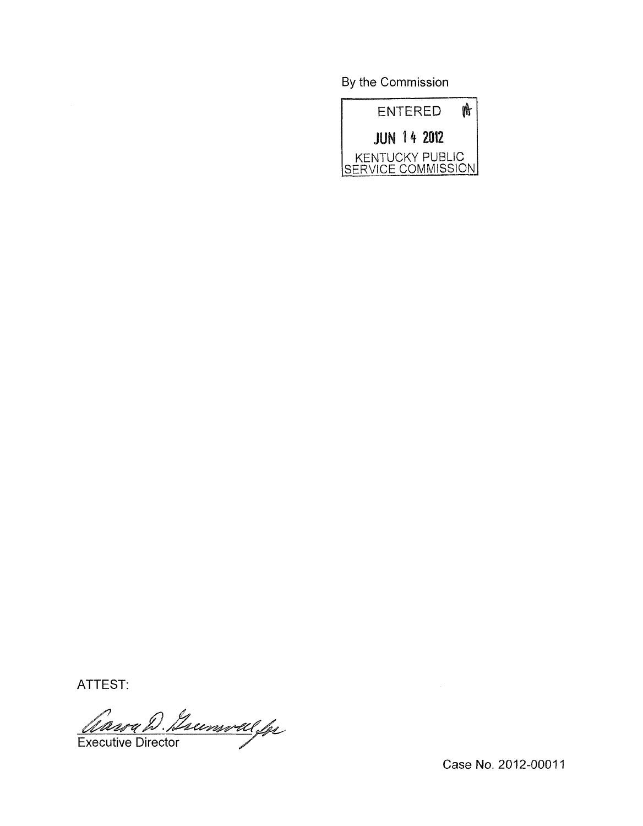By the Commission



ATTEST:

Causa D. Jummal for

Case **No.** 2012-0001 1

 $\bar{\psi}$